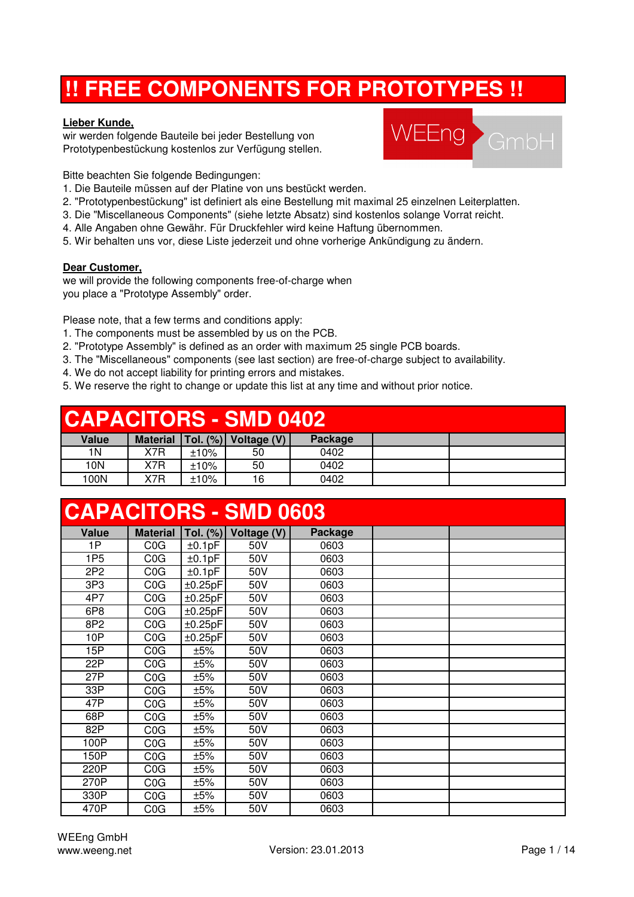# **!! FREE COMPONENTS FOR PROTOTYPES !!**

#### **Lieber Kunde,**

wir werden folgende Bauteile bei jeder Bestellung von Prototypenbestückung kostenlos zur Verfügung stellen.



Bitte beachten Sie folgende Bedingungen:

- 1. Die Bauteile müssen auf der Platine von uns bestückt werden.
- 2. "Prototypenbestückung" ist definiert als eine Bestellung mit maximal 25 einzelnen Leiterplatten.
- 3. Die "Miscellaneous Components" (siehe letzte Absatz) sind kostenlos solange Vorrat reicht.
- 4. Alle Angaben ohne Gewähr. Für Druckfehler wird keine Haftung übernommen.
- 5. Wir behalten uns vor, diese Liste jederzeit und ohne vorherige Ankündigung zu ändern.

#### **Dear Customer,**

we will provide the following components free-of-charge when you place a "Prototype Assembly" order.

Please note, that a few terms and conditions apply:

- 1. The components must be assembled by us on the PCB.
- 2. "Prototype Assembly" is defined as an order with maximum 25 single PCB boards.
- 3. The "Miscellaneous" components (see last section) are free-of-charge subject to availability.
- 4. We do not accept liability for printing errors and mistakes.
- 5. We reserve the right to change or update this list at any time and without prior notice.

### **CAPACITORS - SMD 0402**

| Value | <b>Material</b> |      | Tol. $(\%)$ Voltage $(V)$ | Package |  |
|-------|-----------------|------|---------------------------|---------|--|
| 1Ν    | X7R             | ±10% | 50                        | 0402    |  |
| 10N   | X7R             | ±10% | 50                        | 0402    |  |
| 100N  | X7R             | ±10% | 16                        | 0402    |  |

|                 | <b>CAPACITORS - SMD 0603</b> |         |                         |         |  |  |  |  |  |  |
|-----------------|------------------------------|---------|-------------------------|---------|--|--|--|--|--|--|
| <b>Value</b>    | <b>Material</b>              |         | Tol. $(\%)$ Voltage (V) | Package |  |  |  |  |  |  |
| 1P              | COG                          | ±0.1pF  | 50V                     | 0603    |  |  |  |  |  |  |
| 1P <sub>5</sub> | COG                          | ±0.1pF  | 50V                     | 0603    |  |  |  |  |  |  |
| 2P <sub>2</sub> | COG                          | ±0.1pF  | 50V                     | 0603    |  |  |  |  |  |  |
| 3P3             | COG                          | ±0.25pF | 50V                     | 0603    |  |  |  |  |  |  |
| 4P7             | COG                          | ±0.25pF | 50V                     | 0603    |  |  |  |  |  |  |
| 6P8             | COG                          | ±0.25pF | 50V                     | 0603    |  |  |  |  |  |  |
| 8P2             | COG                          | ±0.25pF | 50V                     | 0603    |  |  |  |  |  |  |
| 10P             | COG                          | ±0.25pF | 50V                     | 0603    |  |  |  |  |  |  |
| 15P             | COG                          | ±5%     | 50V                     | 0603    |  |  |  |  |  |  |
| 22P             | COG                          | ±5%     | 50V                     | 0603    |  |  |  |  |  |  |
| 27P             | COG                          | ±5%     | 50V                     | 0603    |  |  |  |  |  |  |
| 33P             | COG                          | ±5%     | 50V                     | 0603    |  |  |  |  |  |  |
| 47P             | COG                          | ±5%     | 50V                     | 0603    |  |  |  |  |  |  |
| 68P             | COG                          | ±5%     | 50V                     | 0603    |  |  |  |  |  |  |
| 82P             | C0G                          | ±5%     | 50V                     | 0603    |  |  |  |  |  |  |
| 100P            | COG                          | ±5%     | 50V                     | 0603    |  |  |  |  |  |  |
| 150P            | COG                          | ±5%     | 50V                     | 0603    |  |  |  |  |  |  |
| 220P            | COG                          | ±5%     | 50V                     | 0603    |  |  |  |  |  |  |
| 270P            | COG                          | ±5%     | 50V                     | 0603    |  |  |  |  |  |  |
| 330P            | COG                          | ±5%     | 50V                     | 0603    |  |  |  |  |  |  |
| 470P            | COG                          | ±5%     | 50V                     | 0603    |  |  |  |  |  |  |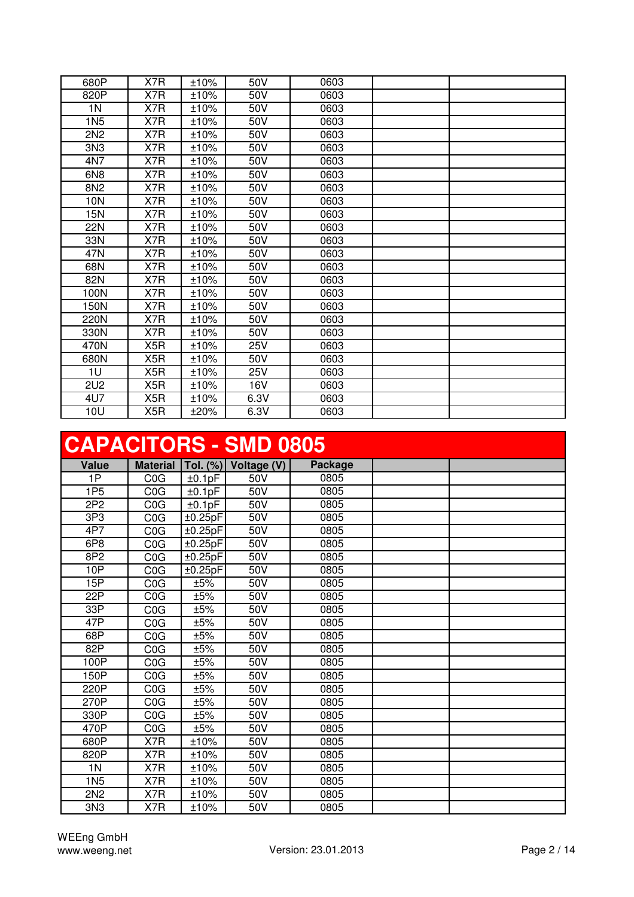| 680P            | X7R              | ±10% | 50V  | 0603 |  |
|-----------------|------------------|------|------|------|--|
| 820P            | X7R              | ±10% | 50V  | 0603 |  |
| 1N              | X7R              | ±10% | 50V  | 0603 |  |
| 1N <sub>5</sub> | X7R              | ±10% | 50V  | 0603 |  |
| 2N <sub>2</sub> | X7R              | ±10% | 50V  | 0603 |  |
| 3N3             | X7R              | ±10% | 50V  | 0603 |  |
| 4N7             | X7R              | ±10% | 50V  | 0603 |  |
| 6N <sub>8</sub> | X7R              | ±10% | 50V  | 0603 |  |
| 8N2             | X7R              | ±10% | 50V  | 0603 |  |
| 10N             | X7R              | ±10% | 50V  | 0603 |  |
| 15N             | X7R              | ±10% | 50V  | 0603 |  |
| <b>22N</b>      | X7R              | ±10% | 50V  | 0603 |  |
| 33N             | X7R              | ±10% | 50V  | 0603 |  |
| 47N             | X7R              | ±10% | 50V  | 0603 |  |
| 68N             | X7R              | ±10% | 50V  | 0603 |  |
| 82N             | X7R              | ±10% | 50V  | 0603 |  |
| 100N            | X7R              | ±10% | 50V  | 0603 |  |
| 150N            | X7R              | ±10% | 50V  | 0603 |  |
| 220N            | X7R              | ±10% | 50V  | 0603 |  |
| 330N            | X7R              | ±10% | 50V  | 0603 |  |
| 470N            | X <sub>5</sub> R | ±10% | 25V  | 0603 |  |
| 680N            | X <sub>5</sub> R | ±10% | 50V  | 0603 |  |
| 1U              | X <sub>5</sub> R | ±10% | 25V  | 0603 |  |
| 2U <sub>2</sub> | X <sub>5</sub> R | ±10% | 16V  | 0603 |  |
| 4U7             | X5R              | ±10% | 6.3V | 0603 |  |
| 10U             | X5R              | ±20% | 6.3V | 0603 |  |

# **CAPACITORS - SMD 0805**

|                 | <u>UAFAUITURU - JIMD UOUJ</u> |         |                           |         |  |  |  |  |  |  |
|-----------------|-------------------------------|---------|---------------------------|---------|--|--|--|--|--|--|
| Value           | <b>Material</b>               |         | Tol. $(\%)$ Voltage $(V)$ | Package |  |  |  |  |  |  |
| 1P              | COG                           | ±0.1pF  | 50V                       | 0805    |  |  |  |  |  |  |
| 1P <sub>5</sub> | COG                           | ±0.1pF  | 50V                       | 0805    |  |  |  |  |  |  |
| 2P <sub>2</sub> | C <sub>0</sub> G              | ±0.1pF  | 50V                       | 0805    |  |  |  |  |  |  |
| 3P3             | COG                           | ±0.25pF | 50V                       | 0805    |  |  |  |  |  |  |
| 4P7             | COG                           | ±0.25pF | 50V                       | 0805    |  |  |  |  |  |  |
| 6P8             | COG                           | ±0.25pF | 50V                       | 0805    |  |  |  |  |  |  |
| 8P2             | COG                           | ±0.25pF | 50V                       | 0805    |  |  |  |  |  |  |
| 10P             | COG                           | ±0.25pF | 50V                       | 0805    |  |  |  |  |  |  |
| 15P             | COG                           | ±5%     | 50V                       | 0805    |  |  |  |  |  |  |
| 22P             | COG                           | ±5%     | 50V                       | 0805    |  |  |  |  |  |  |
| 33P             | COG                           | ±5%     | 50V                       | 0805    |  |  |  |  |  |  |
| 47P             | COG                           | ±5%     | 50V                       | 0805    |  |  |  |  |  |  |
| 68P             | COG                           | ±5%     | 50V                       | 0805    |  |  |  |  |  |  |
| 82P             | COG                           | ±5%     | 50V                       | 0805    |  |  |  |  |  |  |
| 100P            | COG                           | ±5%     | 50V                       | 0805    |  |  |  |  |  |  |
| 150P            | COG                           | ±5%     | 50V                       | 0805    |  |  |  |  |  |  |
| 220P            | COG                           | ±5%     | 50V                       | 0805    |  |  |  |  |  |  |
| 270P            | COG                           | ±5%     | 50V                       | 0805    |  |  |  |  |  |  |
| 330P            | COG                           | ±5%     | 50V                       | 0805    |  |  |  |  |  |  |
| 470P            | COG                           | ±5%     | 50V                       | 0805    |  |  |  |  |  |  |
| 680P            | X7R                           | ±10%    | 50V                       | 0805    |  |  |  |  |  |  |
| 820P            | X7R                           | ±10%    | 50V                       | 0805    |  |  |  |  |  |  |
| 1 <sub>N</sub>  | X7R                           | ±10%    | 50V                       | 0805    |  |  |  |  |  |  |
| 1N <sub>5</sub> | X7R                           | ±10%    | 50V                       | 0805    |  |  |  |  |  |  |
| 2N <sub>2</sub> | X7R                           | ±10%    | 50V                       | 0805    |  |  |  |  |  |  |
| 3N <sub>3</sub> | X7R                           | ±10%    | 50V                       | 0805    |  |  |  |  |  |  |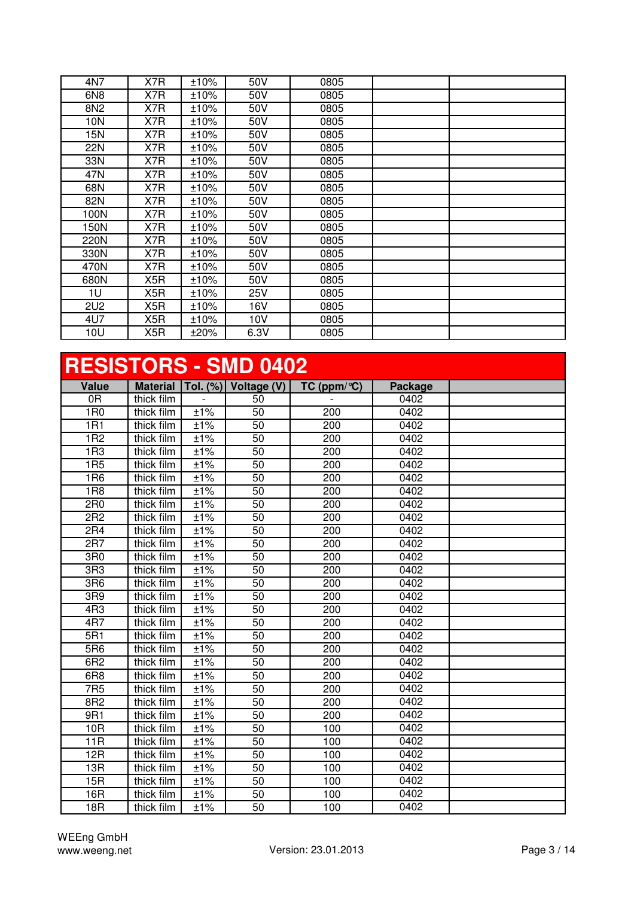| 4N7             | X7R | $±10\%$ | 50V  | 0805 |  |
|-----------------|-----|---------|------|------|--|
| 6N8             | X7R | ±10%    | 50V  | 0805 |  |
| 8N <sub>2</sub> | X7R | ±10%    | 50V  | 0805 |  |
| 10N             | X7R | ±10%    | 50V  | 0805 |  |
| 15N             | X7R | ±10%    | 50V  | 0805 |  |
| 22N             | X7R | ±10%    | 50V  | 0805 |  |
| 33N             | X7R | ±10%    | 50V  | 0805 |  |
| 47N             | X7R | ±10%    | 50V  | 0805 |  |
| 68N             | X7R | ±10%    | 50V  | 0805 |  |
| 82N             | X7R | ±10%    | 50V  | 0805 |  |
| 100N            | X7R | ±10%    | 50V  | 0805 |  |
| 150N            | X7R | ±10%    | 50V  | 0805 |  |
| 220N            | X7R | ±10%    | 50V  | 0805 |  |
| 330N            | X7R | ±10%    | 50V  | 0805 |  |
| 470N            | X7R | ±10%    | 50V  | 0805 |  |
| 680N            | X5R | ±10%    | 50V  | 0805 |  |
| 1U              | X5R | ±10%    | 25V  | 0805 |  |
| <b>2U2</b>      | X5R | ±10%    | 16V  | 0805 |  |
| 4U7             | X5R | ±10%    | 10V  | 0805 |  |
| 10U             | X5R | ±20%    | 6.3V | 0805 |  |

| <b>RESISTORS - SMD 0402</b> |                 |        |                      |                  |         |  |  |
|-----------------------------|-----------------|--------|----------------------|------------------|---------|--|--|
| <b>Value</b>                | <b>Material</b> |        | Tol. (%) Voltage (V) | TC (ppm/°C)      | Package |  |  |
| 0R                          | thick film      |        | 50                   |                  | 0402    |  |  |
| 1R <sub>0</sub>             | thick film      | ±1%    | $\overline{50}$      | 200              | 0402    |  |  |
| 1R1                         | thick film      | ±1%    | $\overline{50}$      | 200              | 0402    |  |  |
| 1R <sub>2</sub>             | thick film      | ±1%    | 50                   | 200              | 0402    |  |  |
| 1R3                         | thick film      | $±1\%$ | 50                   | 200              | 0402    |  |  |
| 1R5                         | thick film      | ±1%    | 50                   | $\overline{200}$ | 0402    |  |  |
| 1R6                         | thick film      | ±1%    | 50                   | 200              | 0402    |  |  |
| 1R8                         | thick film      | ±1%    | 50                   | 200              | 0402    |  |  |
| 2R <sub>0</sub>             | thick film      | $±1\%$ | 50                   | 200              | 0402    |  |  |
| 2R <sub>2</sub>             | thick film      | ±1%    | 50                   | $\overline{200}$ | 0402    |  |  |
| 2R4                         | thick film      | ±1%    | 50                   | $\overline{200}$ | 0402    |  |  |
| 2R7                         | thick film      | ±1%    | 50                   | 200              | 0402    |  |  |
| 3R0                         | thick film      | ±1%    | 50                   | 200              | 0402    |  |  |
| 3R3                         | thick film      | ±1%    | $\overline{50}$      | 200              | 0402    |  |  |
| 3R6                         | thick film      | ±1%    | 50                   | 200              | 0402    |  |  |
| 3R9                         | thick film      | ±1%    | 50                   | 200              | 0402    |  |  |
| 4R3                         | thick film      | ±1%    | 50                   | 200              | 0402    |  |  |
| 4R7                         | thick film      | ±1%    | $\overline{50}$      | 200              | 0402    |  |  |
| 5R1                         | thick film      | ±1%    | 50                   | 200              | 0402    |  |  |
| 5R6                         | thick film      | ±1%    | 50                   | 200              | 0402    |  |  |
| 6R2                         | thick film      | ±1%    | 50                   | 200              | 0402    |  |  |
| 6R <sub>8</sub>             | thick film      | ±1%    | 50                   | 200              | 0402    |  |  |
| 7R5                         | thick film      | ±1%    | $\overline{50}$      | 200              | 0402    |  |  |
| 8R2                         | thick film      | ±1%    | 50                   | 200              | 0402    |  |  |
| 9R1                         | thick film      | ±1%    | $\overline{50}$      | 200              | 0402    |  |  |
| 10 <sub>R</sub>             | thick film      | ±1%    | 50                   | 100              | 0402    |  |  |
| 11R                         | thick film      | ±1%    | 50                   | 100              | 0402    |  |  |
| 12R                         | thick film      | ±1%    | 50                   | 100              | 0402    |  |  |
| 13R                         | thick film      | ±1%    | 50                   | 100              | 0402    |  |  |
| 15R                         | thick film      | ±1%    | 50                   | 100              | 0402    |  |  |
| 16R                         | thick film      | ±1%    | 50                   | 100              | 0402    |  |  |
| 18R                         | thick film      | ±1%    | 50                   | 100              | 0402    |  |  |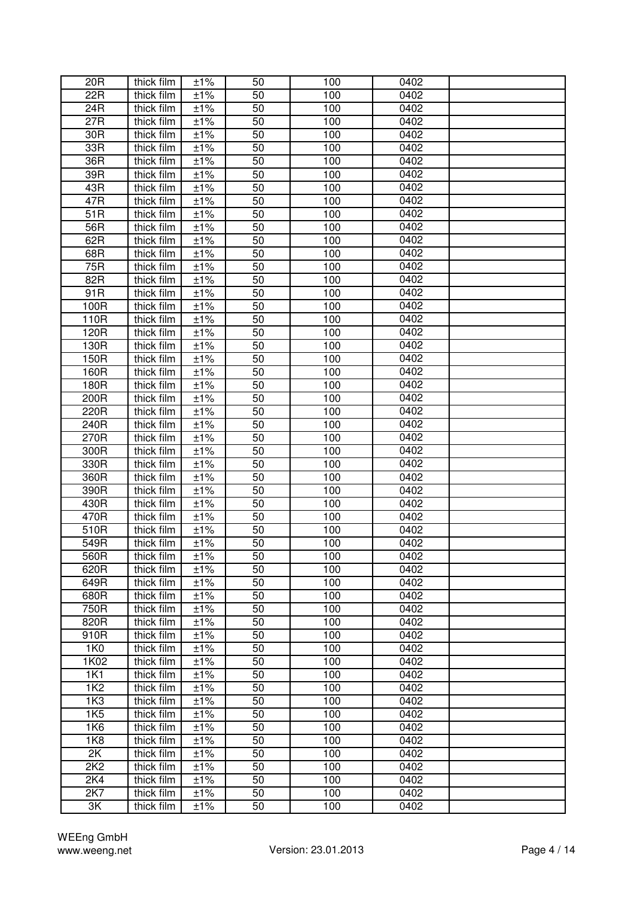| 20 <sub>R</sub>  | thick film | ±1% | 50 | 100 | 0402 |  |
|------------------|------------|-----|----|-----|------|--|
| 22R              | thick film | ±1% | 50 | 100 | 0402 |  |
| 24R              | thick film | ±1% | 50 | 100 | 0402 |  |
| 27R              | thick film | ±1% | 50 | 100 | 0402 |  |
| 30R              | thick film | ±1% | 50 | 100 | 0402 |  |
| 33R              | thick film | ±1% | 50 | 100 | 0402 |  |
| 36R              | thick film | ±1% | 50 | 100 | 0402 |  |
| 39R              | thick film | ±1% | 50 | 100 | 0402 |  |
| 43R              | thick film | ±1% | 50 | 100 | 0402 |  |
| 47R              | thick film | ±1% | 50 | 100 | 0402 |  |
| $\overline{51}R$ | thick film | ±1% | 50 | 100 | 0402 |  |
| 56R              | thick film | ±1% | 50 | 100 | 0402 |  |
| 62R              | thick film | ±1% | 50 | 100 | 0402 |  |
| 68R              | thick film | ±1% | 50 | 100 | 0402 |  |
| 75R              | thick film | ±1% | 50 | 100 | 0402 |  |
| 82R              |            | ±1% | 50 | 100 | 0402 |  |
|                  | thick film |     |    |     | 0402 |  |
| 91R              | thick film | ±1% | 50 | 100 | 0402 |  |
| 100R             | thick film | ±1% | 50 | 100 | 0402 |  |
| 110R             | thick film | ±1% | 50 | 100 |      |  |
| 120R             | thick film | ±1% | 50 | 100 | 0402 |  |
| 130R             | thick film | ±1% | 50 | 100 | 0402 |  |
| 150R             | thick film | ±1% | 50 | 100 | 0402 |  |
| 160R             | thick film | ±1% | 50 | 100 | 0402 |  |
| 180R             | thick film | ±1% | 50 | 100 | 0402 |  |
| 200R             | thick film | ±1% | 50 | 100 | 0402 |  |
| 220R             | thick film | ±1% | 50 | 100 | 0402 |  |
| 240R             | thick film | ±1% | 50 | 100 | 0402 |  |
| 270R             | thick film | ±1% | 50 | 100 | 0402 |  |
| 300R             | thick film | ±1% | 50 | 100 | 0402 |  |
| 330R             | thick film | ±1% | 50 | 100 | 0402 |  |
| 360R             | thick film | ±1% | 50 | 100 | 0402 |  |
| 390R             | thick film | ±1% | 50 | 100 | 0402 |  |
| 430R             | thick film | ±1% | 50 | 100 | 0402 |  |
| 470R             | thick film | ±1% | 50 | 100 | 0402 |  |
| 510R             | thick film | ±1% | 50 | 100 | 0402 |  |
| 549R             | thick film | ±1% | 50 | 100 | 0402 |  |
| 560R             | thick film | ±1% | 50 | 100 | 0402 |  |
| 620R             | thick film | ±1% | 50 | 100 | 0402 |  |
| 649R             | thick film | ±1% | 50 | 100 | 0402 |  |
| 680R             | thick film | ±1% | 50 | 100 | 0402 |  |
| 750R             | thick film | ±1% | 50 | 100 | 0402 |  |
| 820R             | thick film | ±1% | 50 | 100 | 0402 |  |
| 910R             | thick film | ±1% | 50 | 100 | 0402 |  |
| 1K0              | thick film | ±1% | 50 | 100 | 0402 |  |
| 1K02             | thick film | ±1% | 50 | 100 | 0402 |  |
| 1K1              | thick film | ±1% | 50 | 100 | 0402 |  |
| 1K <sub>2</sub>  | thick film | ±1% | 50 | 100 | 0402 |  |
| 1K <sub>3</sub>  | thick film | ±1% | 50 | 100 | 0402 |  |
| 1K <sub>5</sub>  | thick film | ±1% | 50 | 100 | 0402 |  |
| <b>1K6</b>       | thick film | ±1% | 50 | 100 | 0402 |  |
| 1K8              | thick film | ±1% | 50 | 100 | 0402 |  |
| 2K               | thick film | ±1% | 50 | 100 | 0402 |  |
| 2K2              | thick film | ±1% | 50 | 100 | 0402 |  |
| 2K4              | thick film | ±1% | 50 | 100 | 0402 |  |
| 2K7              | thick film | ±1% | 50 | 100 | 0402 |  |
| 3K               | thick film | ±1% | 50 | 100 | 0402 |  |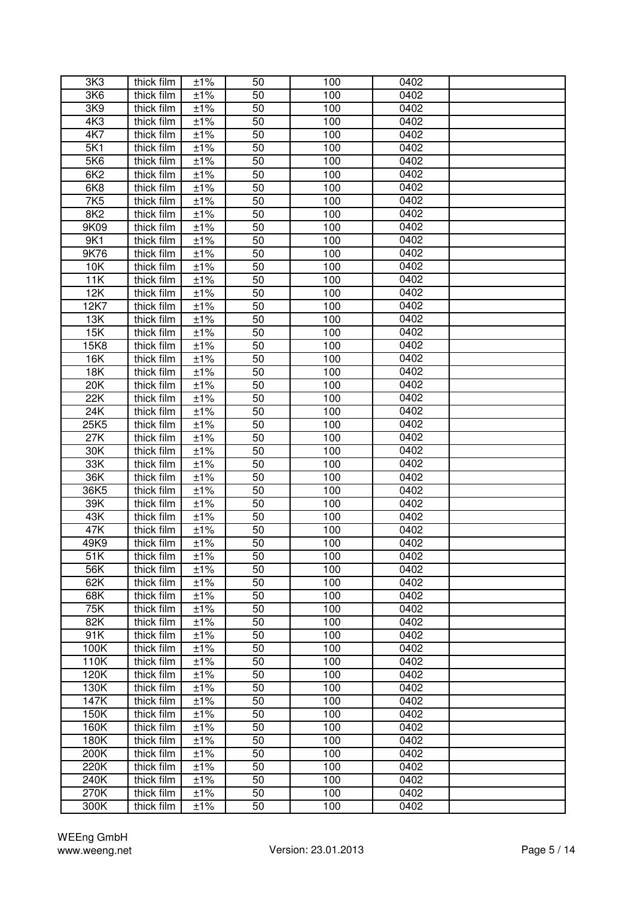| 3K <sub>3</sub> | thick film               | ±1% | 50              | 100 | 0402 |  |
|-----------------|--------------------------|-----|-----------------|-----|------|--|
| 3K6             | thick film               | ±1% | 50              | 100 | 0402 |  |
| 3K9             | thick film               | ±1% | 50              | 100 | 0402 |  |
| 4K3             | thick film               | ±1% | 50              | 100 | 0402 |  |
| 4K7             | thick film               | ±1% | 50              | 100 | 0402 |  |
| 5K1             | thick film               | ±1% | 50              | 100 | 0402 |  |
| 5K6             | thick film               | ±1% | 50              | 100 | 0402 |  |
| 6K <sub>2</sub> | thick film               | ±1% | 50              | 100 | 0402 |  |
| 6K8             | thick film               | ±1% | 50              | 100 | 0402 |  |
| 7K5             | thick film               | ±1% | 50              | 100 | 0402 |  |
| 8K <sub>2</sub> | thick film               | ±1% | 50              | 100 | 0402 |  |
| 9K09            | thick film               | ±1% | 50              | 100 | 0402 |  |
| 9K1             | thick film               | ±1% | 50              | 100 | 0402 |  |
| 9K76            | thick film               | ±1% | 50              | 100 | 0402 |  |
| 10K             | thick film               | ±1% | 50              | 100 | 0402 |  |
| 11K             | thick film               | ±1% | 50              | 100 | 0402 |  |
| 12K             | thick film               | ±1% | 50              | 100 | 0402 |  |
| 12K7            | thick film               | ±1% | $\overline{50}$ | 100 | 0402 |  |
|                 |                          |     | 50              |     | 0402 |  |
| 13K             | thick film               | ±1% |                 | 100 | 0402 |  |
| 15K             | thick film<br>thick film | ±1% | 50              | 100 | 0402 |  |
| 15K8            |                          | ±1% | 50              | 100 | 0402 |  |
| 16K             | thick film               | ±1% | 50              | 100 |      |  |
| <b>18K</b>      | thick film               | ±1% | 50              | 100 | 0402 |  |
| 20K             | thick film               | ±1% | 50              | 100 | 0402 |  |
| 22K             | thick film               | ±1% | 50              | 100 | 0402 |  |
| 24K             | thick film               | ±1% | 50              | 100 | 0402 |  |
| 25K5            | thick film               | ±1% | 50              | 100 | 0402 |  |
| 27K             | thick film               | ±1% | 50              | 100 | 0402 |  |
| 30K             | thick film               | ±1% | 50              | 100 | 0402 |  |
| 33K             | thick film               | ±1% | 50              | 100 | 0402 |  |
| 36K             | thick film               | ±1% | 50              | 100 | 0402 |  |
| 36K5            | thick film               | ±1% | 50              | 100 | 0402 |  |
| 39K<br>43K      | thick film               | ±1% | 50<br>50        | 100 | 0402 |  |
| 47K             | thick film               | ±1% |                 | 100 | 0402 |  |
|                 | thick film               | ±1% | 50              | 100 | 0402 |  |
| 49K9            | thick film               | ±1% | 50              | 100 | 0402 |  |
| 51K             | thick film               | ±1% | 50              | 100 | 0402 |  |
| 56K             | thick film               | ±1% | 50              | 100 | 0402 |  |
| 62K             | thick film               | ±1% | 50              | 100 | 0402 |  |
| 68K             | thick film               | ±1% | 50              | 100 | 0402 |  |
| 75K             | thick film               | ±1% | 50              | 100 | 0402 |  |
| 82K             | thick film               | ±1% | 50              | 100 | 0402 |  |
| 91K             | thick film               | ±1% | 50              | 100 | 0402 |  |
| 100K            | thick film               | ±1% | 50              | 100 | 0402 |  |
| 110K            | thick film               | ±1% | 50              | 100 | 0402 |  |
| 120K            | thick film               | ±1% | 50              | 100 | 0402 |  |
| 130K            | thick film               | ±1% | 50              | 100 | 0402 |  |
| 147K            | thick film               | ±1% | 50              | 100 | 0402 |  |
| 150K            | thick film               | ±1% | 50              | 100 | 0402 |  |
| 160K            | thick film               | ±1% | 50              | 100 | 0402 |  |
| 180K            | thick film               | ±1% | 50              | 100 | 0402 |  |
| 200K            | thick film               | ±1% | 50              | 100 | 0402 |  |
| 220K            | thick film               | ±1% | 50              | 100 | 0402 |  |
| 240K            | thick film               | ±1% | 50              | 100 | 0402 |  |
| 270K            | thick film               | ±1% | 50              | 100 | 0402 |  |
| 300K            | thick film               | ±1% | 50              | 100 | 0402 |  |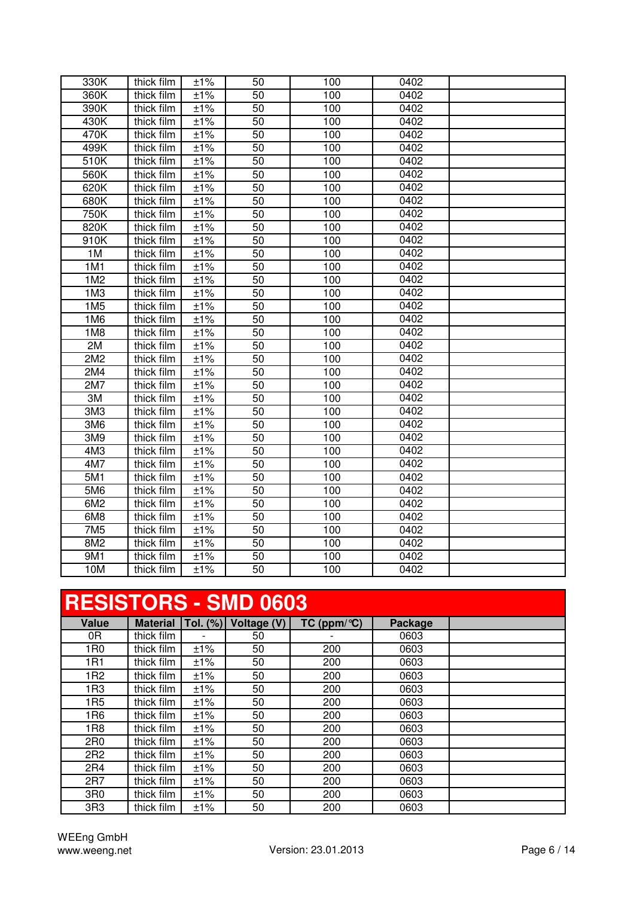| 330K            | thick film | ±1%                  | 50              | 100 | 0402 |  |
|-----------------|------------|----------------------|-----------------|-----|------|--|
| 360K            | thick film | ±1%                  | 50              | 100 | 0402 |  |
| 390K            | thick film | ±1%                  | 50              | 100 | 0402 |  |
| 430K            | thick film | ±1%                  | 50              | 100 | 0402 |  |
| 470K            | thick film | ±1%                  | 50              | 100 | 0402 |  |
| 499K            | thick film | ±1%                  | 50              | 100 | 0402 |  |
| 510K            | thick film | ±1%                  | $\overline{50}$ | 100 | 0402 |  |
| 560K            | thick film | $\overline{\pm 1\%}$ | $\overline{50}$ | 100 | 0402 |  |
| 620K            | thick film | ±1%                  | 50              | 100 | 0402 |  |
| 680K            | thick film | ±1%                  | 50              | 100 | 0402 |  |
| 750K            | thick film | ±1%                  | $\overline{50}$ | 100 | 0402 |  |
| 820K            | thick film | ±1%                  | 50              | 100 | 0402 |  |
| 910K            | thick film | ±1%                  | $\overline{50}$ | 100 | 0402 |  |
| 1M              | thick film | ±1%                  | 50              | 100 | 0402 |  |
| 1M1             | thick film | ±1%                  | 50              | 100 | 0402 |  |
| 1M2             | thick film | ±1%                  | 50              | 100 | 0402 |  |
| 1M <sub>3</sub> | thick film | ±1%                  | 50              | 100 | 0402 |  |
| 1M <sub>5</sub> | thick film | ±1%                  | 50              | 100 | 0402 |  |
| 1M6             | thick film | ±1%                  | 50              | 100 | 0402 |  |
| 1M8             | thick film | ±1%                  | 50              | 100 | 0402 |  |
| 2M              | thick film | ±1%                  | 50              | 100 | 0402 |  |
| 2M2             | thick film | ±1%                  | 50              | 100 | 0402 |  |
| 2M4             | thick film | ±1%                  | 50              | 100 | 0402 |  |
| 2M7             | thick film | ±1%                  | $\overline{50}$ | 100 | 0402 |  |
| 3M              | thick film | ±1%                  | 50              | 100 | 0402 |  |
| 3M3             | thick film | ±1%                  | 50              | 100 | 0402 |  |
| 3M6             | thick film | ±1%                  | 50              | 100 | 0402 |  |
| 3M9             | thick film | ±1%                  | 50              | 100 | 0402 |  |
| 4M3             | thick film | ±1%                  | $\overline{50}$ | 100 | 0402 |  |
| 4M7             | thick film | ±1%                  | 50              | 100 | 0402 |  |
| 5M1             | thick film | ±1%                  | 50              | 100 | 0402 |  |
| 5M6             | thick film | ±1%                  | 50              | 100 | 0402 |  |
| 6M2             | thick film | ±1%                  | 50              | 100 | 0402 |  |
| 6M8             | thick film | ±1%                  | 50              | 100 | 0402 |  |
| 7M5             | thick film | ±1%                  | 50              | 100 | 0402 |  |
| 8M2             | thick film | ±1%                  | 50              | 100 | 0402 |  |
| 9M1             | thick film | ±1%                  | 50              | 100 | 0402 |  |
| 10M             | thick film | ±1%                  | 50              | 100 | 0402 |  |
|                 |            |                      |                 |     |      |  |

### **RESISTORS - SMD 0603**

| <b>Value</b>    | <b>Material</b> | Tol. (%) | Voltage (V) | TC (ppm/ $\mathrm{C}$ ) | Package |  |
|-----------------|-----------------|----------|-------------|-------------------------|---------|--|
| 0R              | thick film      |          | 50          |                         | 0603    |  |
| 1 <sub>R0</sub> | thick film      | ±1%      | 50          | 200                     | 0603    |  |
| 1R1             | thick film      | ±1%      | 50          | 200                     | 0603    |  |
| 1R <sub>2</sub> | thick film      | ±1%      | 50          | 200                     | 0603    |  |
| 1R3             | thick film      | ±1%      | 50          | 200                     | 0603    |  |
| 1R <sub>5</sub> | thick film      | ±1%      | 50          | 200                     | 0603    |  |
| 1R <sub>6</sub> | thick film      | ±1%      | 50          | 200                     | 0603    |  |
| 1R <sub>8</sub> | thick film      | ±1%      | 50          | 200                     | 0603    |  |
| 2R <sub>0</sub> | thick film      | ±1%      | 50          | 200                     | 0603    |  |
| 2R2             | thick film      | ±1%      | 50          | 200                     | 0603    |  |
| 2R4             | thick film      | ±1%      | 50          | 200                     | 0603    |  |
| 2R7             | thick film      | ±1%      | 50          | 200                     | 0603    |  |
| 3R0             | thick film      | ±1%      | 50          | 200                     | 0603    |  |
| 3R <sub>3</sub> | thick film      | ±1%      | 50          | 200                     | 0603    |  |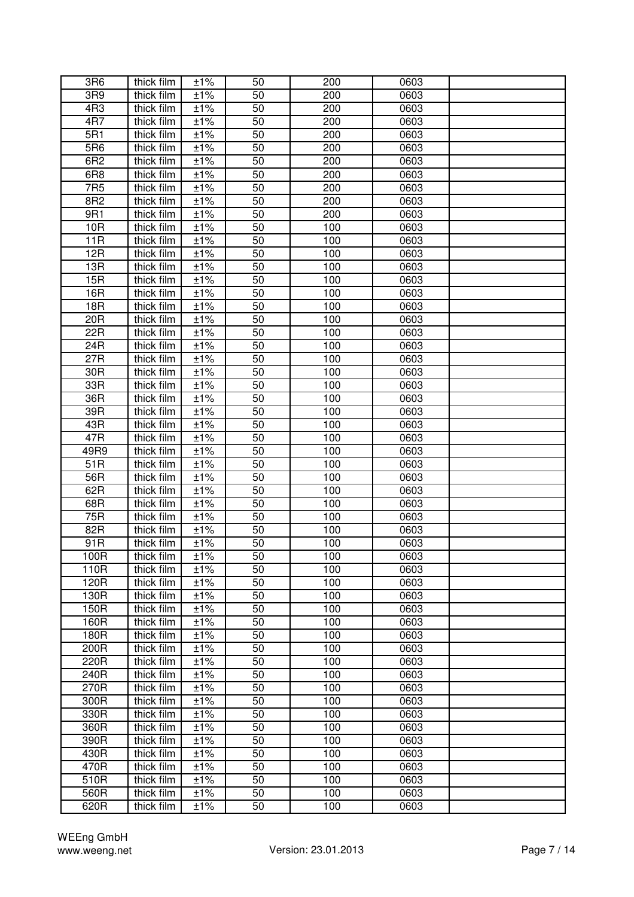| 3R6             | thick film | ±1%      | 50 | 200              | 0603 |  |
|-----------------|------------|----------|----|------------------|------|--|
| 3R9             | thick film | ±1%      | 50 | 200              | 0603 |  |
| 4R3             | thick film | ±1%      | 50 | 200              | 0603 |  |
| 4R7             | thick film | ±1%      | 50 | 200              | 0603 |  |
| 5R1             | thick film | ±1%      | 50 | $\overline{200}$ | 0603 |  |
| 5R6             | thick film | ±1%      | 50 | 200              | 0603 |  |
| 6R2             | thick film | ±1%      | 50 | 200              | 0603 |  |
| 6R <sub>8</sub> | thick film | ±1%      | 50 | 200              | 0603 |  |
| 7R <sub>5</sub> | thick film | ±1%      | 50 | 200              | 0603 |  |
| 8R2             | thick film | ±1%      | 50 | 200              | 0603 |  |
| 9R1             | thick film | ±1%      | 50 | 200              | 0603 |  |
| 10R             | thick film | ±1%      | 50 | 100              | 0603 |  |
| 11R             | thick film | ±1%      | 50 | 100              | 0603 |  |
| 12R             | thick film | ±1%      | 50 | 100              | 0603 |  |
| 13R             | thick film | ±1%      | 50 | 100              | 0603 |  |
| 15R             | thick film | ±1%      | 50 | 100              | 0603 |  |
| 16R             | thick film | ±1%      | 50 | 100              | 0603 |  |
| 18R             | thick film | $\pm$ 1% | 50 | 100              | 0603 |  |
| 20R             | thick film | ±1%      | 50 | 100              | 0603 |  |
| 22R             | thick film | ±1%      | 50 | 100              | 0603 |  |
| 24R             | thick film | ±1%      | 50 | 100              | 0603 |  |
| 27R             | thick film | ±1%      | 50 | 100              | 0603 |  |
| 30R             | thick film | ±1%      | 50 | 100              | 0603 |  |
| 33R             | thick film | ±1%      | 50 | 100              | 0603 |  |
| 36R             | thick film | ±1%      | 50 | 100              | 0603 |  |
| 39R             | thick film | ±1%      | 50 | 100              | 0603 |  |
| 43R             | thick film | ±1%      | 50 | 100              | 0603 |  |
| 47R             | thick film | ±1%      | 50 | 100              | 0603 |  |
| 49R9            | thick film | ±1%      | 50 | 100              | 0603 |  |
| 51R             | thick film | ±1%      | 50 | 100              | 0603 |  |
| 56R             | thick film | ±1%      | 50 | 100              | 0603 |  |
| 62R             | thick film | ±1%      | 50 | 100              | 0603 |  |
| 68R             | thick film | ±1%      | 50 | 100              | 0603 |  |
| 75R             | thick film | $±1\%$   | 50 | 100              | 0603 |  |
| 82R             | thick film | ±1%      | 50 | 100              | 0603 |  |
| 91R             | thick film | ±1%      | 50 | 100              | 0603 |  |
| 100R            | thick film | ±1%      | 50 | 100              | 0603 |  |
| 110R            | thick film | ±1%      | 50 | 100              | 0603 |  |
| 120R            | thick film | ±1%      | 50 | 100              | 0603 |  |
| 130R            | thick film | ±1%      | 50 | 100              | 0603 |  |
| 150R            | thick film | ±1%      | 50 | 100              | 0603 |  |
| 160R            | thick film | ±1%      | 50 | 100              | 0603 |  |
| 180R            | thick film | ±1%      | 50 | 100              | 0603 |  |
| 200R            | thick film | ±1%      | 50 | 100              | 0603 |  |
| 220R            | thick film | ±1%      | 50 | 100              | 0603 |  |
| 240R            | thick film | ±1%      | 50 | 100              | 0603 |  |
| 270R            | thick film | ±1%      | 50 | 100              | 0603 |  |
| 300R            | thick film | ±1%      | 50 | 100              | 0603 |  |
| 330R            | thick film | ±1%      | 50 | 100              | 0603 |  |
| 360R            | thick film | ±1%      | 50 | 100              | 0603 |  |
| 390R            | thick film | ±1%      | 50 | 100              | 0603 |  |
| 430R            | thick film | ±1%      | 50 | 100              | 0603 |  |
| 470R            | thick film | ±1%      | 50 | 100              | 0603 |  |
| 510R            | thick film | ±1%      | 50 | 100              | 0603 |  |
| 560R            | thick film | ±1%      | 50 | 100              | 0603 |  |
| 620R            | thick film | ±1%      | 50 | 100              | 0603 |  |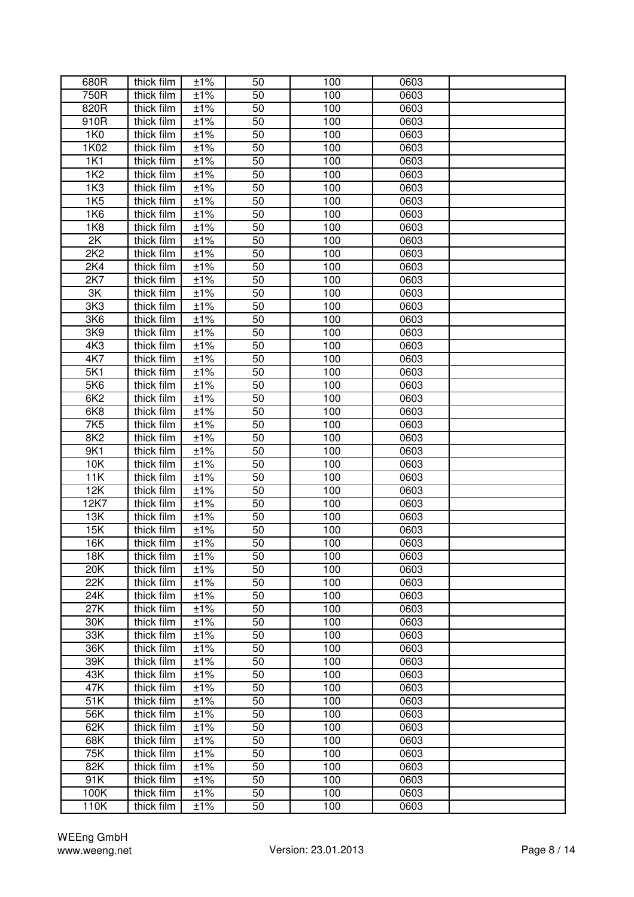| 680R             | thick film | ±1%                  | 50 | 100 | 0603 |  |
|------------------|------------|----------------------|----|-----|------|--|
| 750R             | thick film | $\overline{\pm 1\%}$ | 50 | 100 | 0603 |  |
| 820R             | thick film | ±1%                  | 50 | 100 | 0603 |  |
| 910R             | thick film | ±1%                  | 50 | 100 | 0603 |  |
| 1K0              | thick film | ±1%                  | 50 | 100 | 0603 |  |
| 1K02             | thick film | ±1%                  | 50 | 100 | 0603 |  |
| 1K1              | thick film | ±1%                  | 50 | 100 | 0603 |  |
| <b>1K2</b>       | thick film | ±1%                  | 50 | 100 | 0603 |  |
| 1K3              | thick film | ±1%                  | 50 | 100 | 0603 |  |
| <b>1K5</b>       | thick film | ±1%                  | 50 | 100 | 0603 |  |
| 1K6              | thick film | ±1%                  | 50 | 100 | 0603 |  |
| <b>1K8</b>       | thick film | ±1%                  | 50 | 100 | 0603 |  |
| 2K               | thick film | ±1%                  | 50 | 100 | 0603 |  |
| 2K2              | thick film | ±1%                  | 50 | 100 | 0603 |  |
| 2K4              | thick film | ±1%                  | 50 | 100 | 0603 |  |
| 2K7              | thick film | ±1%                  | 50 | 100 | 0603 |  |
| 3K               | thick film | ±1%                  | 50 | 100 | 0603 |  |
| 3K <sub>3</sub>  | thick film | ±1%                  | 50 | 100 | 0603 |  |
| 3K6              | thick film | ±1%                  | 50 | 100 | 0603 |  |
| 3K9              | thick film | ±1%                  | 50 | 100 | 0603 |  |
| 4K3              | thick film | ±1%                  | 50 | 100 | 0603 |  |
| 4K7              | thick film | ±1%                  | 50 | 100 | 0603 |  |
| 5K1              | thick film | ±1%                  | 50 | 100 | 0603 |  |
| 5K6              | thick film | ±1%                  | 50 | 100 | 0603 |  |
| 6K2              | thick film | ±1%                  | 50 | 100 | 0603 |  |
| 6K8              | thick film | ±1%                  | 50 | 100 | 0603 |  |
| 7K5              | thick film | ±1%                  | 50 | 100 | 0603 |  |
| 8K <sub>2</sub>  | thick film | ±1%                  | 50 | 100 | 0603 |  |
| 9K1              | thick film | ±1%                  | 50 | 100 | 0603 |  |
| 10K              | thick film | ±1%                  | 50 | 100 | 0603 |  |
| 11K              | thick film | ±1%                  | 50 | 100 | 0603 |  |
| 12K              | thick film | ±1%                  | 50 | 100 | 0603 |  |
| 12K7             | thick film | ±1%                  | 50 | 100 | 0603 |  |
| 13K              | thick film | ±1%                  | 50 | 100 | 0603 |  |
| 15K              | thick film | ±1%                  | 50 | 100 | 0603 |  |
| $\overline{16}K$ | thick film | ±1%                  | 50 | 100 | 0603 |  |
| <b>18K</b>       | thick film | ±1%                  | 50 | 100 | 0603 |  |
| 20K              | thick film | ±1%                  | 50 | 100 | 0603 |  |
| 22K              | thick film | ±1%                  | 50 | 100 | 0603 |  |
| 24K              | thick film | ±1%                  | 50 | 100 | 0603 |  |
| 27K              | thick film | ±1%                  | 50 | 100 | 0603 |  |
| 30K              | thick film | ±1%                  | 50 | 100 | 0603 |  |
| 33K              | thick film | ±1%                  | 50 | 100 | 0603 |  |
| 36K              | thick film | ±1%                  | 50 | 100 | 0603 |  |
| 39K              | thick film | ±1%                  | 50 | 100 | 0603 |  |
| 43K              | thick film | ±1%                  | 50 | 100 | 0603 |  |
| 47K              | thick film | ±1%                  | 50 | 100 | 0603 |  |
| 51K              | thick film | ±1%                  | 50 | 100 | 0603 |  |
| 56K              | thick film | ±1%                  | 50 | 100 | 0603 |  |
| 62K              | thick film | ±1%                  | 50 | 100 | 0603 |  |
| 68K              | thick film | ±1%                  | 50 | 100 | 0603 |  |
| 75K              | thick film | ±1%                  | 50 | 100 | 0603 |  |
| 82K              | thick film | ±1%                  | 50 | 100 | 0603 |  |
| 91K              | thick film | ±1%                  | 50 | 100 | 0603 |  |
| 100K             | thick film | ±1%                  | 50 | 100 | 0603 |  |
| 110K             | thick film | ±1%                  | 50 | 100 | 0603 |  |
|                  |            |                      |    |     |      |  |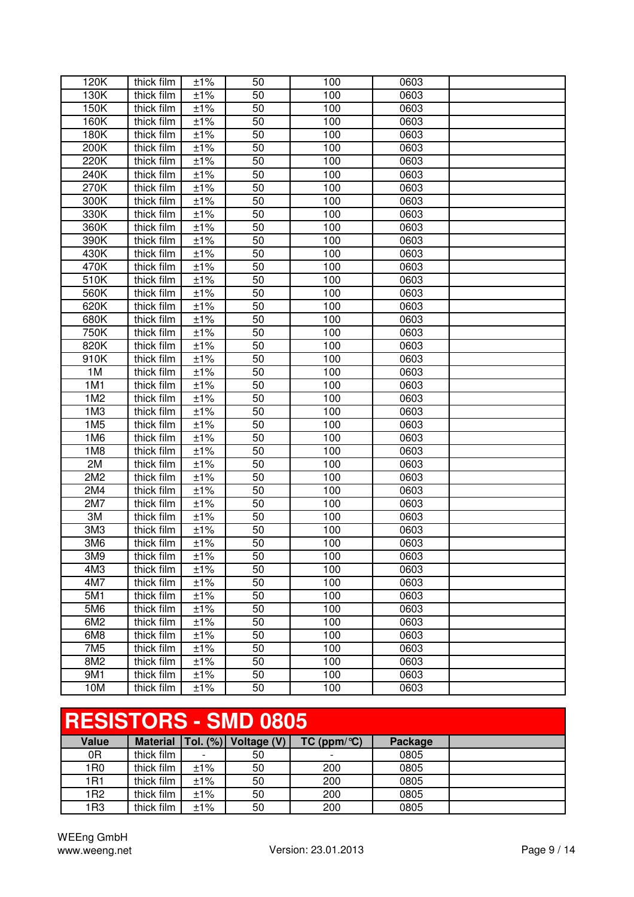| 120K            | thick film | ±1% | 50 | 100 | 0603 |  |
|-----------------|------------|-----|----|-----|------|--|
| 130K            | thick film | ±1% | 50 | 100 | 0603 |  |
| 150K            | thick film | ±1% | 50 | 100 | 0603 |  |
| 160K            | thick film | ±1% | 50 | 100 | 0603 |  |
| 180K            | thick film | ±1% | 50 | 100 | 0603 |  |
| 200K            | thick film | ±1% | 50 | 100 | 0603 |  |
| 220K            | thick film | ±1% | 50 | 100 | 0603 |  |
| 240K            | thick film | ±1% | 50 | 100 | 0603 |  |
| 270K            | thick film | ±1% | 50 | 100 | 0603 |  |
| 300K            | thick film | ±1% | 50 | 100 | 0603 |  |
| 330K            | thick film | ±1% | 50 | 100 | 0603 |  |
| 360K            | thick film | ±1% | 50 | 100 | 0603 |  |
| 390K            | thick film | ±1% | 50 | 100 | 0603 |  |
| 430K            | thick film | ±1% | 50 | 100 | 0603 |  |
| 470K            | thick film | ±1% | 50 | 100 | 0603 |  |
| 510K            | thick film | ±1% | 50 | 100 | 0603 |  |
| 560K            | thick film | ±1% | 50 | 100 | 0603 |  |
| 620K            | thick film | ±1% | 50 | 100 | 0603 |  |
| 680K            | thick film | ±1% | 50 | 100 | 0603 |  |
| 750K            | thick film | ±1% | 50 | 100 | 0603 |  |
| 820K            | thick film | ±1% | 50 | 100 | 0603 |  |
| 910K            | thick film | ±1% | 50 | 100 | 0603 |  |
| 1M              | thick film | ±1% | 50 | 100 | 0603 |  |
| 1M1             | thick film | ±1% | 50 | 100 | 0603 |  |
| 1M2             | thick film | ±1% | 50 | 100 | 0603 |  |
| 1M <sub>3</sub> | thick film | ±1% | 50 | 100 | 0603 |  |
| 1M <sub>5</sub> | thick film | ±1% | 50 | 100 | 0603 |  |
| 1M6             | thick film | ±1% | 50 | 100 | 0603 |  |
| 1M <sub>8</sub> | thick film | ±1% | 50 | 100 | 0603 |  |
| 2M              | thick film | ±1% | 50 | 100 | 0603 |  |
| 2M2             | thick film | ±1% | 50 | 100 | 0603 |  |
| 2M4             | thick film | ±1% | 50 | 100 | 0603 |  |
| 2M7             | thick film | ±1% | 50 | 100 | 0603 |  |
| 3M              | thick film | ±1% | 50 | 100 | 0603 |  |
| 3M3             | thick film | ±1% | 50 | 100 | 0603 |  |
| 3M6             | thick film | ±1% | 50 | 100 | 0603 |  |
| 3M9             | thick film | ±1% | 50 | 100 | 0603 |  |
| 4M3             | thick film | ±1% | 50 | 100 | 0603 |  |
| 4M7             | thick film | ±1% | 50 | 100 | 0603 |  |
| 5M1             | thick film | ±1% | 50 | 100 | 0603 |  |
| 5M6             | thick film | ±1% | 50 | 100 | 0603 |  |
| 6M2             | thick film | ±1% | 50 | 100 | 0603 |  |
| 6M8             | thick film | ±1% | 50 | 100 | 0603 |  |
| 7M <sub>5</sub> | thick film | ±1% | 50 | 100 | 0603 |  |
| 8M2             | thick film | ±1% | 50 | 100 | 0603 |  |
| 9M1             | thick film | ±1% | 50 | 100 | 0603 |  |
| 10M             | thick film | ±1% | 50 | 100 | 0603 |  |

# **RESISTORS - SMD 0805**

| Value           | <b>Material</b> | Tol. $(\%)$              | Voltage (V) | $TC$ (ppm/ $°C$ )        | Package |  |
|-----------------|-----------------|--------------------------|-------------|--------------------------|---------|--|
| 0R              | thick film      | $\overline{\phantom{0}}$ | 50          | $\overline{\phantom{0}}$ | 0805    |  |
| 1R <sub>0</sub> | thick film      | $±1\%$                   | 50          | 200                      | 0805    |  |
| 1R1             | thick film      | ±1%                      | 50          | 200                      | 0805    |  |
| 1R2             | thick film      | ±1%                      | 50          | 200                      | 0805    |  |
| 1R3             | thick film      | ±1%                      | 50          | 200                      | 0805    |  |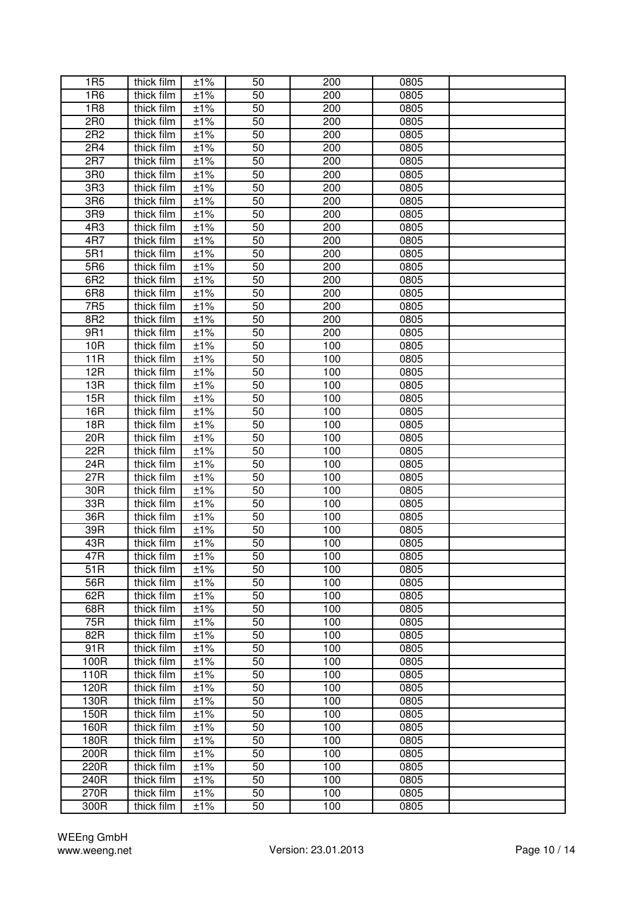| 1R <sub>5</sub>   | thick film               | ±1%                 | 50              | 200        | 0805         |  |
|-------------------|--------------------------|---------------------|-----------------|------------|--------------|--|
| 1R <sub>6</sub>   | thick film               | ±1%                 | 50              | 200        | 0805         |  |
| <b>1R8</b>        | thick film               | ±1%                 | 50              | 200        | 0805         |  |
| 2R <sub>0</sub>   | thick film               | ±1%                 | 50              | 200        | 0805         |  |
| 2R <sub>2</sub>   | thick film               | ±1%                 | 50              | 200        | 0805         |  |
| 2R4               | thick film               | ±1%                 | 50              | 200        | 0805         |  |
| 2R7               | thick film               | ±1%                 | 50              | 200        | 0805         |  |
| 3R0               | thick film               | ±1%                 | 50              | 200        | 0805         |  |
| 3R3               | thick film               | ±1%                 | 50              | 200        | 0805         |  |
| 3R6               | thick film               | ±1%                 | 50              | 200        | 0805         |  |
| 3R9               | thick film               | ±1%                 | 50              | 200        | 0805         |  |
| 4R3               | thick film               | ±1%                 | 50              | 200        | 0805         |  |
| 4R7               | thick film               | ±1%                 | 50              | 200        | 0805         |  |
| 5R1               | thick film               | ±1%                 | 50              | 200        | 0805         |  |
| 5R6               | thick film               | ±1%                 | 50              | 200        | 0805         |  |
| 6R2               | thick film               | ±1%                 | 50              | 200        | 0805         |  |
| 6R <sub>8</sub>   | thick film               | ±1%                 | 50              | 200        | 0805         |  |
| 7R <sub>5</sub>   |                          |                     | $\overline{50}$ | 200        | 0805         |  |
| 8R2               | thick film<br>thick film | ±1%                 | 50              |            |              |  |
|                   |                          | ±1%                 |                 | 200        | 0805         |  |
| 9R1               | thick film               | ±1%                 | 50              | 200        | 0805         |  |
| 10 <sub>R</sub>   | thick film               | ±1%                 | 50              | 100        | 0805         |  |
| 11R               | thick film               | ±1%                 | 50              | 100        | 0805         |  |
| 12R               | thick film               | ±1%                 | 50              | 100        | 0805         |  |
| 13R               | thick film               | ±1%                 | 50              | 100        | 0805         |  |
| 15R               | thick film               | ±1%                 | 50              | 100        | 0805         |  |
| 16R               | thick film               | ±1%                 | 50              | 100        | 0805         |  |
| 18R               | thick film               | ±1%                 | 50              | 100        | 0805         |  |
| 20R               | thick film               | ±1%                 | 50              | 100        | 0805         |  |
| 22R               | thick film               | ±1%                 | 50              | 100        | 0805         |  |
| 24R               | thick film               | ±1%                 | 50              | 100        | 0805         |  |
| 27R               | thick film               | ±1%                 | 50              | 100        | 0805         |  |
| 30R<br>33R        | thick film<br>thick film | ±1%<br>±1%          | 50<br>50        | 100<br>100 | 0805<br>0805 |  |
| 36R               |                          |                     | 50              | 100        | 0805         |  |
|                   | thick film               | ±1%                 |                 |            |              |  |
| 39R               | thick film               | ±1%                 | 50              | 100        | 0805         |  |
| 43R               | thick film               | ±1%                 | 50              | 100        | 0805         |  |
| 47R               | thick film               | ±1%                 | 50              | 100        | 0805         |  |
| $\overline{51}$ R | thick film               | ±1%                 | 50              | 100        | 0805         |  |
| 56R               | thick film               | ±1%                 | 50              | 100        | 0805         |  |
| 62R               | thick film               | ±1%                 | 50              | 100        | 0805         |  |
| 68R               | thick film               | ±1%                 | 50              | 100        | 0805         |  |
| 75R               | thick film               | ±1%                 | 50              | 100        | 0805         |  |
| 82R               | thick film               | ±1%                 | 50              | 100        | 0805         |  |
| 91R               | thick film               | ±1%                 | 50              | 100        | 0805         |  |
| 100R              | thick film               | ±1%                 | 50              | 100        | 0805         |  |
| 110R              | thick film               | ±1%                 | 50              | 100        | 0805         |  |
| 120R              | thick film               | ±1%                 | 50              | 100        | 0805         |  |
| 130R              | thick film               | ±1%                 | 50              | 100        | 0805         |  |
| 150R              | thick film               | ±1%                 | 50              | 100        | 0805         |  |
| 160R              | thick film               | ±1%                 | 50              | 100        | 0805         |  |
| 180R              | thick film               | ±1%                 | 50              | 100        | 0805         |  |
| 200R              | thick film               | ±1%                 | 50              | 100        | 0805         |  |
| 220R              | thick film               | ±1%                 | 50              | 100        | 0805         |  |
| 240R              | thick film               | $\overline{\pm}1\%$ | 50              | 100        | 0805         |  |
| 270R              | thick film               | ±1%                 | 50              | 100        | 0805         |  |
| 300R              | thick film               | ±1%                 | 50              | 100        | 0805         |  |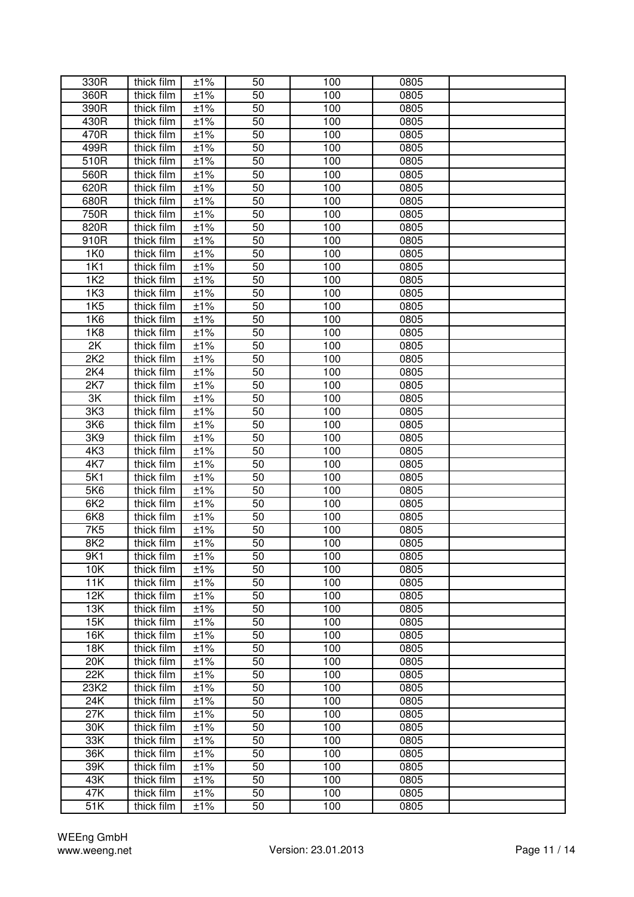| 330R            | thick film | ±1% | 50              | 100 | 0805 |  |
|-----------------|------------|-----|-----------------|-----|------|--|
| 360R            | thick film | ±1% | 50              | 100 | 0805 |  |
| 390R            | thick film | ±1% | 50              | 100 | 0805 |  |
| 430R            | thick film | ±1% | 50              | 100 | 0805 |  |
| 470R            | thick film | ±1% | 50              | 100 | 0805 |  |
| 499R            | thick film | ±1% | 50              | 100 | 0805 |  |
| 510R            | thick film | ±1% | 50              | 100 | 0805 |  |
| 560R            | thick film | ±1% | 50              | 100 | 0805 |  |
| 620R            |            |     |                 |     |      |  |
|                 | thick film | ±1% | 50              | 100 | 0805 |  |
| 680R            | thick film | ±1% | 50              | 100 | 0805 |  |
| 750R            | thick film | ±1% | 50              | 100 | 0805 |  |
| 820R            | thick film | ±1% | 50              | 100 | 0805 |  |
| 910R            | thick film | ±1% | 50              | 100 | 0805 |  |
| 1K0             | thick film | ±1% | 50              | 100 | 0805 |  |
| 1K1             | thick film | ±1% | 50              | 100 | 0805 |  |
| <b>1K2</b>      | thick film | ±1% | 50              | 100 | 0805 |  |
| 1K <sub>3</sub> | thick film | ±1% | 50              | 100 | 0805 |  |
| 1K5             | thick film | ±1% | $\overline{50}$ | 100 | 0805 |  |
| 1K6             | thick film | ±1% | 50              | 100 | 0805 |  |
| 1K8             | thick film | ±1% | 50              | 100 | 0805 |  |
| 2K              | thick film | ±1% | 50              | 100 | 0805 |  |
| 2K2             | thick film | ±1% | 50              | 100 | 0805 |  |
| 2K4             | thick film | ±1% | 50              | 100 | 0805 |  |
| 2K7             | thick film | ±1% | 50              | 100 | 0805 |  |
| 3K              | thick film | ±1% | 50              | 100 | 0805 |  |
| 3K3             | thick film | ±1% | 50              | 100 | 0805 |  |
| 3K6             | thick film | ±1% | 50              | 100 | 0805 |  |
| 3K9             | thick film | ±1% | 50              | 100 | 0805 |  |
| 4K3             | thick film | ±1% | 50              | 100 | 0805 |  |
| 4K7             | thick film | ±1% | 50              | 100 | 0805 |  |
| 5K1             | thick film | ±1% | 50              | 100 | 0805 |  |
| 5K6             | thick film | ±1% | 50              | 100 | 0805 |  |
| 6K2             | thick film | ±1% | 50              | 100 | 0805 |  |
| 6K8             |            | ±1% | 50              | 100 | 0805 |  |
|                 | thick film |     |                 |     |      |  |
| 7K5             | thick film | ±1% | 50              | 100 | 0805 |  |
| 8K <sub>2</sub> | thick film | ±1% | 50              | 100 | 0805 |  |
| 9K1             | thick film | ±1% | 50              | 100 | 0805 |  |
| 10K             | thick film | ±1% | 50              | 100 | 0805 |  |
| 11K             | thick film | ±1% | 50              | 100 | 0805 |  |
| 12K             | thick film | ±1% | 50              | 100 | 0805 |  |
| 13K             | thick film | ±1% | 50              | 100 | 0805 |  |
| 15K             | thick film | ±1% | 50              | 100 | 0805 |  |
| 16K             | thick film | ±1% | 50              | 100 | 0805 |  |
| <b>18K</b>      | thick film | ±1% | 50              | 100 | 0805 |  |
| 20K             | thick film | ±1% | 50              | 100 | 0805 |  |
| 22K             | thick film | ±1% | 50              | 100 | 0805 |  |
| 23K2            | thick film | ±1% | 50              | 100 | 0805 |  |
| 24K             | thick film | ±1% | 50              | 100 | 0805 |  |
| 27K             | thick film | ±1% | 50              | 100 | 0805 |  |
| 30K             | thick film | ±1% | 50              | 100 | 0805 |  |
| 33K             | thick film | ±1% | 50              | 100 | 0805 |  |
| 36K             | thick film | ±1% | 50              | 100 | 0805 |  |
| 39K             | thick film | ±1% | 50              | 100 | 0805 |  |
| 43K             | thick film | ±1% | 50              | 100 | 0805 |  |
| 47K             | thick film | ±1% | 50              | 100 | 0805 |  |
| 51K             | thick film | ±1% | 50              | 100 | 0805 |  |
|                 |            |     |                 |     |      |  |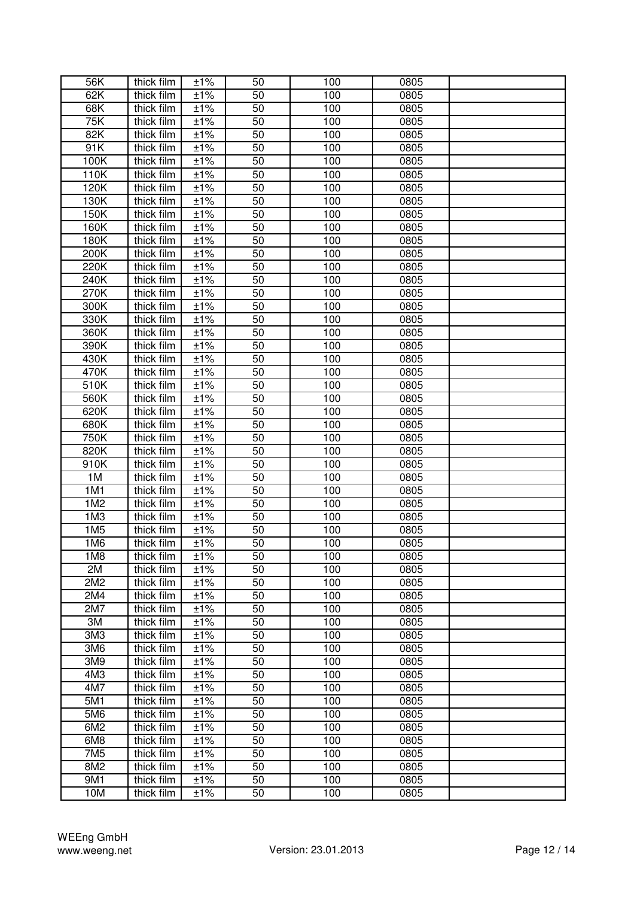| 56K             | thick film | ±1%                 | 50 | 100 | 0805 |  |
|-----------------|------------|---------------------|----|-----|------|--|
| 62K             | thick film | ±1%                 | 50 | 100 | 0805 |  |
| 68K             | thick film | ±1%                 | 50 | 100 | 0805 |  |
| 75K             | thick film | ±1%                 | 50 | 100 | 0805 |  |
| 82K             | thick film | ±1%                 | 50 | 100 | 0805 |  |
| 91K             | thick film | ±1%                 | 50 | 100 | 0805 |  |
| 100K            | thick film | ±1%                 | 50 | 100 | 0805 |  |
| 110K            | thick film | ±1%                 | 50 | 100 | 0805 |  |
| 120K            | thick film | ±1%                 | 50 | 100 | 0805 |  |
| 130K            | thick film | ±1%                 | 50 | 100 | 0805 |  |
| 150K            | thick film | ±1%                 | 50 | 100 | 0805 |  |
| 160K            | thick film | ±1%                 | 50 | 100 | 0805 |  |
| 180K            | thick film | ±1%                 | 50 | 100 | 0805 |  |
| 200K            | thick film | ±1%                 | 50 | 100 | 0805 |  |
| 220K            | thick film | ±1%                 | 50 | 100 | 0805 |  |
| 240K            | thick film | ±1%                 | 50 | 100 | 0805 |  |
| 270K            | thick film | ±1%                 | 50 | 100 | 0805 |  |
| 300K            | thick film | ±1%                 | 50 | 100 | 0805 |  |
| 330K            | thick film | ±1%                 | 50 | 100 | 0805 |  |
| 360K            | thick film | ±1%                 | 50 | 100 | 0805 |  |
| 390K            | thick film | ±1%                 | 50 | 100 | 0805 |  |
| 430K            | thick film | ±1%                 | 50 | 100 | 0805 |  |
| 470K            | thick film | ±1%                 | 50 | 100 | 0805 |  |
| 510K            | thick film | ±1%                 | 50 | 100 | 0805 |  |
| 560K            | thick film | ±1%                 | 50 | 100 | 0805 |  |
| 620K            | thick film | ±1%                 | 50 | 100 | 0805 |  |
| 680K            | thick film | ±1%                 | 50 | 100 | 0805 |  |
| 750K            | thick film | ±1%                 | 50 | 100 | 0805 |  |
| 820K            | thick film | ±1%                 | 50 | 100 | 0805 |  |
| 910K            | thick film | ±1%                 | 50 | 100 | 0805 |  |
| 1M              | thick film | ±1%                 | 50 | 100 | 0805 |  |
| 1M1             | thick film | ±1%                 | 50 | 100 | 0805 |  |
| 1M2             | thick film | ±1%                 | 50 | 100 | 0805 |  |
| 1M <sub>3</sub> | thick film | $±1\%$              | 50 | 100 | 0805 |  |
| 1M <sub>5</sub> | thick film | ±1%                 | 50 | 100 | 0805 |  |
| 1M6             | thick film | ±1%                 | 50 | 100 | 0805 |  |
| 1M8             | thick film | ±1%                 | 50 | 100 | 0805 |  |
| 2M              | thick film | ±1%                 | 50 | 100 | 0805 |  |
| 2M2             | thick film | ±1%                 | 50 | 100 | 0805 |  |
| 2M4             | thick film | ±1%                 | 50 | 100 | 0805 |  |
| 2M7             | thick film | ±1%                 | 50 | 100 | 0805 |  |
| 3M              | thick film | ±1%                 | 50 | 100 | 0805 |  |
| 3M <sub>3</sub> | thick film | ±1%                 | 50 | 100 | 0805 |  |
| 3M6             | thick film | ±1%                 | 50 | 100 | 0805 |  |
| 3M9             | thick film | ±1%                 | 50 | 100 | 0805 |  |
| 4M3             | thick film | ±1%                 | 50 | 100 | 0805 |  |
| 4M7             | thick film | ±1%                 | 50 | 100 | 0805 |  |
| 5M1             | thick film | ±1%                 | 50 | 100 | 0805 |  |
| 5M6             | thick film | ±1%                 | 50 | 100 | 0805 |  |
| 6M2             | thick film | ±1%                 | 50 | 100 | 0805 |  |
| 6M8             | thick film | ±1%                 | 50 | 100 | 0805 |  |
| 7M <sub>5</sub> | thick film | ±1%                 | 50 | 100 | 0805 |  |
| 8M2             | thick film | ±1%                 | 50 | 100 | 0805 |  |
| 9M1             | thick film | ±1%                 | 50 | 100 | 0805 |  |
| 10M             | thick film | $\overline{\pm}1\%$ | 50 | 100 | 0805 |  |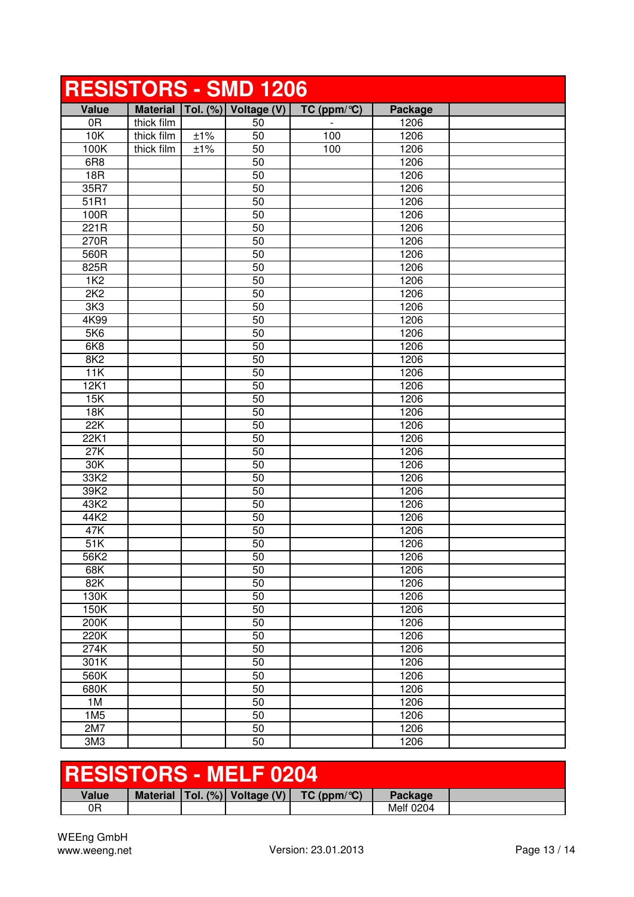|                 |            |     | <b>RESISTORS - SMD 1206</b>       |                         |                |  |
|-----------------|------------|-----|-----------------------------------|-------------------------|----------------|--|
| <b>Value</b>    |            |     | Material   Tol. (%)   Voltage (V) | TC (ppm/ $\mathrm{C}$ ) | <b>Package</b> |  |
| 0R              | thick film |     | 50                                |                         | 1206           |  |
| 10K             | thick film | ±1% | 50                                | 100                     | 1206           |  |
| 100K            | thick film | ±1% | 50                                | 100                     | 1206           |  |
| 6R <sub>8</sub> |            |     | 50                                |                         | 1206           |  |
| 18R             |            |     | 50                                |                         | 1206           |  |
| 35R7            |            |     | 50                                |                         | 1206           |  |
| 51R1            |            |     | 50                                |                         | 1206           |  |
| 100R            |            |     | 50                                |                         | 1206           |  |
| 221R            |            |     | 50                                |                         | 1206           |  |
| 270R            |            |     | 50                                |                         | 1206           |  |
| 560R            |            |     | 50                                |                         | 1206           |  |
| 825R            |            |     | 50                                |                         | 1206           |  |
| <b>1K2</b>      |            |     | 50                                |                         | 1206           |  |
| 2K2             |            |     | 50                                |                         | 1206           |  |
| 3K <sub>3</sub> |            |     | 50                                |                         | 1206           |  |
| 4K99            |            |     | 50                                |                         | 1206           |  |
| 5K6             |            |     | 50                                |                         | 1206           |  |
| 6K8             |            |     | 50                                |                         | 1206           |  |
| 8K2             |            |     | 50                                |                         | 1206           |  |
| 11K             |            |     | 50                                |                         | 1206           |  |
| 12K1            |            |     | 50                                |                         | 1206           |  |
| 15K             |            |     | 50                                |                         | 1206           |  |
| <b>18K</b>      |            |     | 50                                |                         | 1206           |  |
| 22K             |            |     | 50                                |                         | 1206           |  |
| 22K1            |            |     | 50                                |                         | 1206           |  |
| 27K             |            |     | 50                                |                         | 1206           |  |
| 30K             |            |     | 50                                |                         | 1206           |  |
| 33K2            |            |     | 50                                |                         | 1206           |  |
| 39K2            |            |     | 50                                |                         | 1206           |  |
| 43K2            |            |     | 50                                |                         | 1206           |  |
| 44K2            |            |     | 50                                |                         | 1206           |  |
| 47K             |            |     | 50                                |                         | 1206           |  |
| 51K             |            |     | 50                                |                         | 1206           |  |
| 56K2            |            |     | 50                                |                         | 1206           |  |
| 68K             |            |     | 50                                |                         | 1206           |  |
| 82K             |            |     | 50                                |                         | 1206           |  |
| 130K            |            |     | 50                                |                         | 1206           |  |
| 150K            |            |     | 50                                |                         | 1206           |  |
| 200K            |            |     | 50                                |                         | 1206           |  |
| 220K            |            |     | 50                                |                         | 1206           |  |
| 274K            |            |     | 50                                |                         | 1206           |  |
| 301K            |            |     | 50                                |                         | 1206           |  |
| 560K            |            |     | 50                                |                         | 1206           |  |
| 680K            |            |     | 50                                |                         | 1206           |  |
| 1M              |            |     | 50                                |                         | 1206           |  |
| 1M <sub>5</sub> |            |     | 50                                |                         | 1206           |  |
| 2M7             |            |     | 50                                |                         | 1206           |  |
| 3M3             |            |     | 50                                |                         | 1206           |  |

| <b>RESISTORS - MELF 0204</b> |  |  |  |                                                                |           |  |  |
|------------------------------|--|--|--|----------------------------------------------------------------|-----------|--|--|
| Value                        |  |  |  | Material $ T_{0} $ . (%) Voltage (V) $ TC(ppm/\textdegree C) $ | Package   |  |  |
| 0R                           |  |  |  |                                                                | Melf 0204 |  |  |